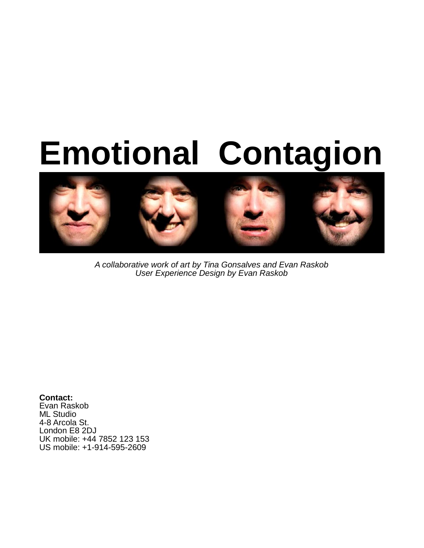# **Emotional Contagion**



A collaborative work of art by Tina Gonsalves and Evan Raskob User Experience Design by Evan Raskob

**Contact:** Evan Raskob ML Studio 4-8 Arcola St. London E8 2DJ UK mobile: +44 7852 123 153 US mobile: +1-914-595-2609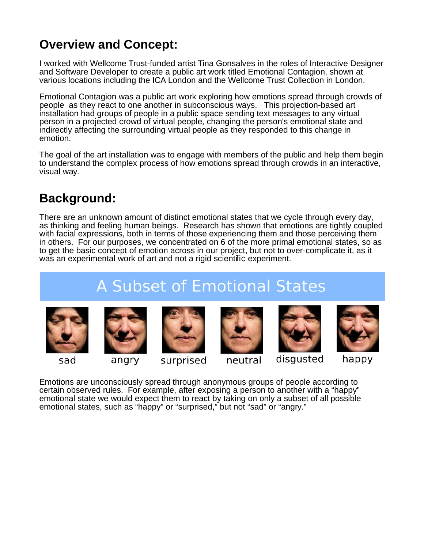## **Overview and Concept:**

I worked with Wellcome Trust-funded artist Tina Gonsalves in the roles of Interactive Designer and Software Developer to create a public art work titled Emotional Contagion, shown at various locations including the ICA London and the Wellcome Trust Collection in London.

Emotional Contagion was a public art work exploring how emotions spread through crowds of people as they react to one another in subconscious ways. This projection-based art installation had groups of people in a public space sending text messages to any virtual person in a projected crowd of virtual people, changing the person's emotional state and indirectly affecting the surrounding virtual people as they responded to this change in emotion.

The goal of the art installation was to engage with members of the public and help them begin to understand the complex process of how emotions spread through crowds in an interactive, visual way.

## **Background:**

There are an unknown amount of distinct emotional states that we cycle through every day, as thinking and feeling human beings. Research has shown that emotions are tightly coupled with facial expressions, both in terms of those experiencing them and those perceiving them in others. For our purposes, we concentrated on 6 of the more primal emotional states, so as to get the basic concept of emotion across in our project, but not to over-complicate it, as it was an experimental work of art and not a rigid scientific experiment.

# **A Subset of Emotional States**



sad



angry

surprised

neutral



happy

Emotions are unconsciously spread through anonymous groups of people according to certain observed rules. For example, after exposing a person to another with a "happy" emotional state we would expect them to react by taking on only a subset of all possible emotional states, such as "happy" or "surprised," but not "sad" or "angry."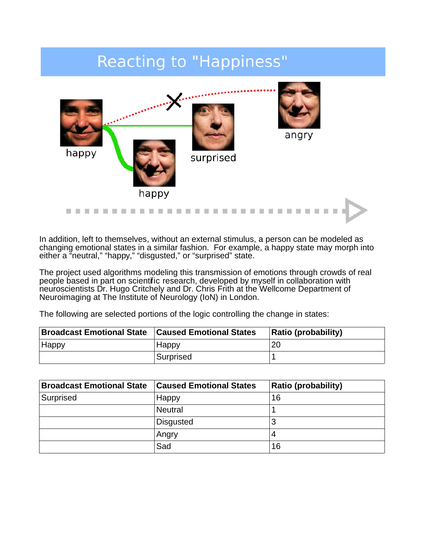# **Reacting to "Happiness"**



In addition, left to themselves, without an external stimulus, a person can be modeled as changing emotional states in a similar fashion. For example, a happy state may morph into either a "neutral," "happy," "disgusted," or "surprised" state.

The project used algorithms modeling this transmission of emotions through crowds of real people based in part on scientific research, developed by myself in collaboration with neuroscientists Dr. Hugo Critchely and Dr. Chris Frith at the Wellcome Department of Neuroimaging at The Institute of Neurology (IoN) in London.

The following are selected portions of the logic controlling the change in states:

| <b>Broadcast Emotional State</b> | <b>Caused Emotional States</b> | <b>Ratio (probability)</b> |
|----------------------------------|--------------------------------|----------------------------|
| Happy                            | <b>Happy</b>                   | 20                         |
|                                  | Surprised                      |                            |

| <b>Broadcast Emotional State</b> | <b>Caused Emotional States</b> | <b>Ratio (probability)</b> |
|----------------------------------|--------------------------------|----------------------------|
| Surprised                        | Happy                          | 16                         |
|                                  | <b>Neutral</b>                 |                            |
|                                  | <b>Disgusted</b>               | w                          |
|                                  | Angry                          | 4                          |
|                                  | Sad                            | 16                         |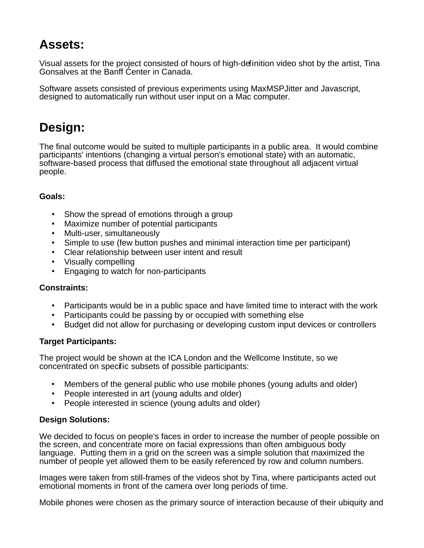## **Assets:**

Visual assets for the project consisted of hours of high-definition video shot by the artist, Tina Gonsalves at the Banff Center in Canada.

Software assets consisted of previous experiments using MaxMSPJitter and Javascript, designed to automatically run without user input on a Mac computer.

## **Design:**

The final outcome would be suited to multiple participants in a public area. It would combine participants' intentions (changing a virtual person's emotional state) with an automatic, software-based process that diffused the emotional state throughout all adjacent virtual people.

#### **Goals:**

- Show the spread of emotions through a group
- Maximize number of potential participants
- Multi-user, simultaneously
- Simple to use (few button pushes and minimal interaction time per participant)
- Clear relationship between user intent and result
- Visually compelling
- Engaging to watch for non-participants

#### **Constraints:**

- Participants would be in a public space and have limited time to interact with the work
- Participants could be passing by or occupied with something else
- Budget did not allow for purchasing or developing custom input devices or controllers

#### **Target Participants:**

The project would be shown at the ICA London and the Wellcome Institute, so we concentrated on specific subsets of possible participants:

- Members of the general public who use mobile phones (young adults and older)
- People interested in art (young adults and older)
- People interested in science (young adults and older)

#### **Design Solutions:**

We decided to focus on people's faces in order to increase the number of people possible on the screen, and concentrate more on facial expressions than often ambiguous body language. Putting them in a grid on the screen was a simple solution that maximized the number of people yet allowed them to be easily referenced by row and column numbers.

Images were taken from still-frames of the videos shot by Tina, where participants acted out emotional moments in front of the camera over long periods of time.

Mobile phones were chosen as the primary source of interaction because of their ubiquity and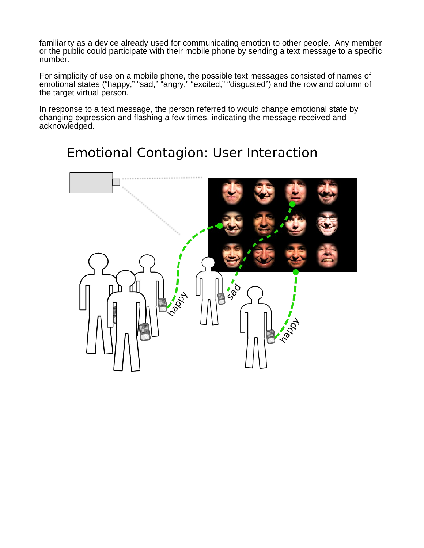familiarity as a device already used for communicating emotion to other people. Any member or the public could participate with their mobile phone by sending a text message to a specifc number.

For simplicity of use on a mobile phone, the possible text messages consisted of names of emotional states ("happy," "sad," "angry," "excited," "disgusted") and the row and column of the target virtual person.

In response to a text message, the person referred to would change emotional state by changing expression and flashing a few times, indicating the message received and acknowledged.

## **Emotional Contagion: User Interaction**